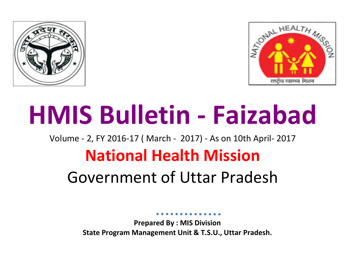



# **HMIS Bulletin - Faizabad**

Volume - 2, FY 2016-17 ( March - 2017) - As on 10th April- 2017

## **National Health Mission**

# Government of Uttar Pradesh

**Prepared By : MIS Division State Program Management Unit & T.S.U., Uttar Pradesh.**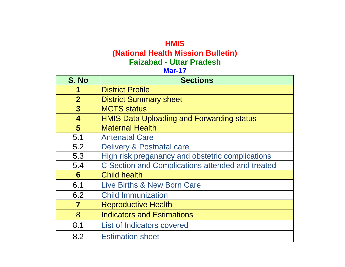### **HMIS (National Health Mission Bulletin) Faizabad - Uttar Pradesh**

### **Mar-17**

| S. No          | <b>Sections</b>                                  |
|----------------|--------------------------------------------------|
| 1              | <b>District Profile</b>                          |
| $\overline{2}$ | <b>District Summary sheet</b>                    |
| $\overline{3}$ | <b>MCTS</b> status                               |
| 4              | <b>HMIS Data Uploading and Forwarding status</b> |
| 5              | <b>Maternal Health</b>                           |
| 5.1            | <b>Antenatal Care</b>                            |
| 5.2            | Delivery & Postnatal care                        |
| 5.3            | High risk preganancy and obstetric complications |
| 5.4            | C Section and Complications attended and treated |
| 6              | <b>Child health</b>                              |
| 6.1            | Live Births & New Born Care                      |
| 6.2            | <b>Child Immunization</b>                        |
| 7              | <b>Reproductive Health</b>                       |
| 8              | <b>Indicators and Estimations</b>                |
| 8.1            | List of Indicators covered                       |
| 8.2            | <b>Estimation sheet</b>                          |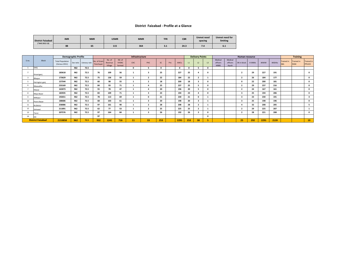#### **District Faizabad - Profile at a Glance**

| <b>District Faizabad</b><br>(*AHS 2012-13) | <b>IMR</b> | <b>NMR</b> | U5MR | <b>MMR</b> | <b>TFR</b>  | <b>CBR</b> | Unmet need<br>spacing | <b>Unmet need for</b><br>limiting |
|--------------------------------------------|------------|------------|------|------------|-------------|------------|-----------------------|-----------------------------------|
|                                            | 88         | --<br>65   | 115  | 364        | . .<br>-3.1 | 24.3       | 7.4                   | 6.1                               |

|       |                          |                                          | <b>Demographic Profile</b> |                         |                          |                              |                                               | Infrastructure |                         |           |      |              |                | <b>Delivery Points</b> |                |                                    |                              | <b>Human resource</b> |        |      |        |                          | <b>Training</b>                  |                             |
|-------|--------------------------|------------------------------------------|----------------------------|-------------------------|--------------------------|------------------------------|-----------------------------------------------|----------------|-------------------------|-----------|------|--------------|----------------|------------------------|----------------|------------------------------------|------------------------------|-----------------------|--------|------|--------|--------------------------|----------------------------------|-----------------------------|
| S.no. | Block                    | <b>Total Population</b><br>(Census 2011) |                            | Sex ratio Literacy rate | No. of Gram<br>Panchayat | No. of<br>Revenue<br>Village | N <sub>0</sub> , of<br><b>VHSNC</b><br>formed | CHC            | PHC                     | <b>SC</b> | Pvt. | AWCs         | L <sub>1</sub> | L <sub>2</sub>         | L <sub>3</sub> | Medical<br>officers<br><b>MBBS</b> | Medical<br>officers<br>Avush | SN in block           | # ANMs | #AWW | #ASHAs | Trained in<br><b>SBA</b> | <b>Trained in</b><br><b>NSSK</b> | <b>Trained in</b><br>PPIUCD |
|       | DHQ                      |                                          | 962                        | 72.5                    |                          |                              |                                               | $\Omega$       | 5                       | $\Omega$  |      | $\mathbf{o}$ |                | 5                      |                |                                    |                              |                       |        |      |        |                          |                                  |                             |
|       | Amanigani                | 183618                                   | 962                        | 72.5                    | 76                       | 109                          | 56                                            |                | 3                       | 25        |      | 227          | 25             |                        |                |                                    |                              |                       | 29     | 227  | 191    |                          |                                  | $\Omega$                    |
|       | Bikapur                  | 173629                                   | 962                        | 72.5                    | 75                       | 136                          | 59                                            |                | $\overline{\mathbf{2}}$ | 22        |      | 184          | 22             |                        |                |                                    |                              |                       | 26     | 184  | 177    |                          |                                  | $\Omega$                    |
|       | Harington ganj           | 157544                                   | 962                        | 72.5                    | 60                       | 98                           | 55                                            |                | $\overline{2}$          | 18        |      | 200          | 18             | $\mathbf{3}$           |                |                                    |                              | $\Omega$              | 22     | 200  | 181    |                          |                                  | $\mathbf{0}$                |
|       | Masaudha                 | 233169                                   | 962                        | 72.5                    | 84                       | 93                           | 71                                            |                | 4                       | 25        |      | 237          | 25             | 5                      |                |                                    |                              | $\overline{2}$        | 29     | 237  | 216    |                          |                                  | $\mathbf{0}$                |
|       | Mawai                    | 163073                                   | 962                        | 72.5                    | 55                       | 78                           | 47                                            |                | 4                       | 20        |      | 196          | 20             | 5                      |                |                                    |                              | $\overline{2}$        | 24     | 167  | 161    |                          |                                  | $\Omega$                    |
|       | Maya Bazar               | 183935                                   | 962                        | 72.5                    | 83                       | 109                          | 71                                            |                | $\overline{\mathbf{3}}$ | 23        |      | 194          | 23             |                        |                |                                    |                              |                       | 25     | 194  | 206    |                          |                                  | $\mathbf{0}$                |
|       | Milkipur                 | 192651                                   | 962                        | 72.5                    | 78                       | 113                          | 69                                            |                | $\mathbf 0$             | 21        |      | 230          | 21             | $\Omega$               |                |                                    |                              |                       | 23     | 230  | 191    |                          |                                  |                             |
| 10    | Poora Bazar              | 188686                                   | 962                        | 72.5                    | 68                       | 103                          | 61                                            |                | 3                       | 20        |      | 198          | 20             |                        |                |                                    |                              |                       | 25     | 198  | 196    |                          |                                  | $\Omega$                    |
| 11    | RUDAULI                  | 258086                                   | 962                        | 72.5                    | 97                       | 161                          | 90                                            |                | $\overline{\mathbf{z}}$ | 28        |      | 208          | 28             |                        |                |                                    |                              |                       | 32     | 208  | 205    |                          |                                  | -5                          |
| 12    | Sohawal                  | 211891                                   | 962                        | 72.5                    | 62                       | 77                           | 53                                            |                | $\overline{2}$          | 25        |      | 225          | 25             | $\overline{2}$         |                |                                    |                              |                       | 29     | 225  | 207    |                          |                                  |                             |
| 13    | Tarun                    | 207576                                   | 962                        | 72.5                    | 97                       | 164                          | 84                                            |                | 3                       | 26        |      | 192          | 26             |                        |                |                                    |                              | $\overline{2}$        | 28     | 221  | 208    |                          |                                  | $\Omega$                    |
| 14    |                          |                                          |                            |                         | 97                       |                              |                                               |                |                         |           |      |              |                |                        |                |                                    |                              |                       |        |      |        |                          |                                  |                             |
|       | <b>District Faizabad</b> | 2153858                                  | 962                        | 72.5                    | 932                      | 1241                         | 716                                           | 11             | 33                      | 253       |      | 2291         | 253            | 38                     |                |                                    |                              | 25                    | 292    | 2291 | 2139   |                          |                                  | 10                          |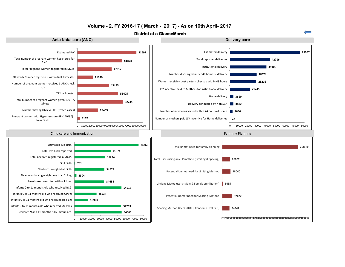

#### **Volume - 2, FY 2016-17 ( March - 2017) - As on 10th April- 2017**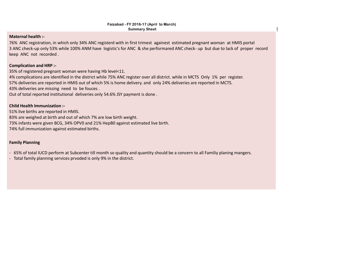#### **Maternal health :-**

76% ANC registration, in which only 34% ANC registerd with in first trimest againest estimated pregnant woman at HMIS portal 3 ANC check-up only 53% while 100% ANM have logistic's for ANC & she performared ANC check- up but due to lack of proper record keep ANC not recorded .

#### **Complication and HRP :-**

35% of registered pregnant woman were having Hb level<11.

4% complications are identified in the district while 75% ANC register over all district. while in MCTS Only 1% per register.

57% deliveries are reported in HMIS out of which 5% is home delivery. and only 24% deliveries are reported in MCTS.

43% deliveries are missing need to be fouces .

Out of total reported institutional deliveries only 54.6% JSY payment is done .

#### **Child Health Immunization :-**

51% live births are reported in HMIS. 83% are weighed at birth and out of which 7% are low birth weight. 73% infants were given BCG, 34% OPV0 and 21% HepB0 against estimated live birth. 74% full immunization against estimated births.

#### **Family Planning**

- 65% of total IUCD perform at Subcenter till month so quality and quantity should be a concern to all Familiy planing mangers.
- Total family planning services prvoded is only 9% in the district.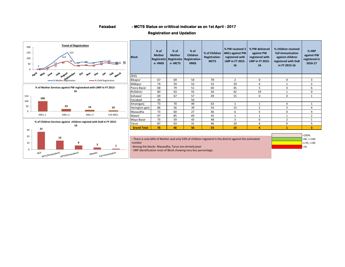**Faizabad - MCTS Status on crititical indicator as on 1st April - 2017**

#### **Registration and Updation**

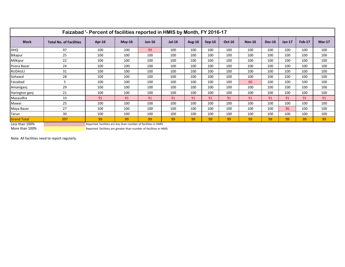| Faizabad '- Percent of facilities reported in HMIS by Month, FY 2016-17 |                                |                                                                |          |          |               |               |          |               |               |               |        |               |               |
|-------------------------------------------------------------------------|--------------------------------|----------------------------------------------------------------|----------|----------|---------------|---------------|----------|---------------|---------------|---------------|--------|---------------|---------------|
| <b>Block</b>                                                            | <b>Total No. of Facilities</b> | Apr-16                                                         | $May-16$ | $Jun-16$ | <b>Jul-16</b> | <b>Aug-16</b> | $Sep-16$ | <b>Oct-16</b> | <b>Nov-16</b> | <b>Dec-16</b> | Jan-17 | <b>Feb-17</b> | <b>Mar-17</b> |
| <b>DHQ</b>                                                              | 97                             | 100                                                            | 100      | 99       | 100           | 100           | 100      | 100           | 100           | 100           | 100    | 100           | 100           |
| <b>Bikapur</b>                                                          | 25                             | 100                                                            | 100      | 100      | 100           | 100           | 100      | 100           | 100           | 100           | 100    | 100           | 100           |
| Milkipur                                                                | 22                             | 100                                                            | 100      | 100      | 100           | 100           | 100      | 100           | 100           | 100           | 100    | 100           | 100           |
| Poora Bazar                                                             | 24                             | 100                                                            | 100      | 100      | 100           | 100           | 100      | 100           | 100           | 100           | 100    | 100           | 100           |
| <b>RUDAULI</b>                                                          | 31                             | 100                                                            | 100      | 100      | 100           | 100           | 100      | 100           | 100           | 100           | 100    | 100           | 100           |
| Sohawal                                                                 | 28                             | 100                                                            | 100      | 100      | 100           | 100           | 100      | 100           | 100           | 100           | 100    | 100           | 100           |
| Faizabad                                                                | 5                              | 100                                                            | 100      | 100      | 100           | 100           | 100      | 100           | 60            | 100           | 100    | 100           | 100           |
| Amaniganj                                                               | 29                             | 100                                                            | 100      | 100      | 100           | 100           | 100      | 100           | 100           | 100           | 100    | 100           | 100           |
| Harington ganj                                                          | 21                             | 100                                                            | 100      | 100      | 100           | 100           | 100      | 100           | 100           | 100           | 100    | 100           | 100           |
| Masaudha                                                                | 33                             | 91                                                             | 91       | 91       | 91            | 91            | 91       | 91            | 91            | 91            | 91     | 91            | 91            |
| Mawai                                                                   | 25                             | 100                                                            | 100      | 100      | 100           | 100           | 100      | 100           | 100           | 100           | 100    | 100           | 100           |
| Maya Bazar                                                              | 27                             | 100                                                            | 100      | 100      | 100           | 100           | 100      | 100           | 100           | 100           | 96     | 100           | 100           |
| Tarun                                                                   | 30                             | 100                                                            | 100      | 100      | 100           | 100           | 100      | 100           | 100           | 100           | 100    | 100           | 100           |
| <b>Grand Total</b>                                                      | 397                            | 99                                                             | 99       | 99       | 99            | 99            | 99       | 99            | 99            | 99            | 99     | 99            | 99            |
| Less than 100%                                                          |                                | Reported facilities are less than number of facilities in HMIS |          |          |               |               |          |               |               |               |        |               |               |

More than 100% Reported facilities are greater than number of facilities in HMIS

Note: All facilities need to report regularly.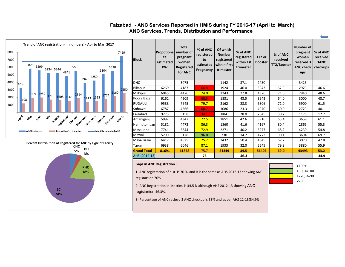

**74%**

#### **ANC Services, Trends, Distribution and Performance Faizabad - ANC Services Reported in HMIS during FY 2016-17 (April to March)**

registartion 46.3%. 3- Percentage of ANC recievd 3 ANC checkup is 53% and as per AHS 12-13(34.9%).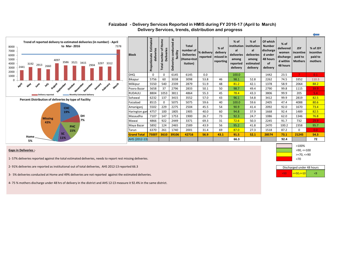| Trend of reported delivery to estimated deliveries (in number) - April<br>to Mar-2016<br>7378<br>8000<br>7000<br>6000<br>5000<br>4097<br>3586 3521 3415<br>4000<br>3297<br>3312<br>3192 2913 2660<br>2904<br>2441<br>3000<br>2000 | <b>Block</b>       | Estimated<br>deliveries<br>Propotionate | $\omega$<br>.<br>오<br>ቴ<br>Deliveries<br>number<br>Total | 嵩<br>Deliveries conducted<br>facility | <b>Total</b><br>number of  % delivery<br><b>Deliveries</b><br>(Home+Inst<br>itution) |      | $%$ of<br>delivery<br>reported   missed in<br>reporting | % of<br>al<br>deliveries<br>among<br>reported<br>delivery | % of<br>institution   institution<br>al<br>deliveries<br>among<br>estimated<br>delivery | Of which<br><b>Number</b><br>discharge<br>d under<br>48 hours<br><b>of</b><br>delivery | $%$ of<br>delivered<br>women<br>discharge<br>d within<br>48 hours | <b>JSY</b><br>incentive<br>paid to<br><b>Mothers</b> | % of JSY<br>incentive<br>paid to<br>mothers |
|-----------------------------------------------------------------------------------------------------------------------------------------------------------------------------------------------------------------------------------|--------------------|-----------------------------------------|----------------------------------------------------------|---------------------------------------|--------------------------------------------------------------------------------------|------|---------------------------------------------------------|-----------------------------------------------------------|-----------------------------------------------------------------------------------------|----------------------------------------------------------------------------------------|-------------------------------------------------------------------|------------------------------------------------------|---------------------------------------------|
| 1000                                                                                                                                                                                                                              | <b>DHQ</b>         | $\mathbf 0$                             | $\Omega$                                                 | 6145                                  | 6145                                                                                 | 0.0  |                                                         | 100.0                                                     |                                                                                         | 1442                                                                                   | 23.5                                                              |                                                      | 0.1                                         |
| $\Omega$                                                                                                                                                                                                                          | Bikapur            | 5756                                    | 60                                                       | 3038                                  | 3098                                                                                 | 53.8 | 46                                                      | 98.1                                                      | 52.8                                                                                    | 2262                                                                                   | 74.5                                                              | 3352                                                 | 110.3                                       |
| April<br><b>Alay</b><br><b>Wre</b><br>$v_{\mu\mu}$<br>August<br>March                                                                                                                                                             | Milkipur           | 5550                                    | 540                                                      | 2339                                  | 2879                                                                                 | 51.9 | 48                                                      | 81.2                                                      | 42.1                                                                                    | 1378                                                                                   | 58.9                                                              | 2064                                                 | 88.2                                        |
| September<br>October<br>Voyember<br>December<br>February<br>January                                                                                                                                                               | Poora Bazar        | 5658                                    | 37                                                       | 2796                                  | 2833                                                                                 | 50.1 | 50                                                      | 98.7                                                      | 49.4                                                                                    | 2790                                                                                   | 99.8                                                              | 1115                                                 | 39.9 <sub>•</sub>                           |
| Monthly Estimated delivery<br>Delivery reported                                                                                                                                                                                   | <b>RUDAULI</b>     | 8804                                    | 1053                                                     | 3811                                  | 4864                                                                                 | 55.3 | 45                                                      | 78.4                                                      | 43.3                                                                                    | 3806                                                                                   | 99.9                                                              | 205                                                  | 5.4                                         |
| Percent Distribution of deliveries by type of Facility                                                                                                                                                                            | Sohawal            | 6232                                    | 137                                                      | 3415                                  | 3552                                                                                 | 57.0 | 43                                                      | 96.1                                                      | 54.8                                                                                    | 3412                                                                                   | 99.9                                                              | 2819                                                 | 82.5                                        |
|                                                                                                                                                                                                                                   | Faizabad           | 8515                                    | $\Omega$                                                 | 5075                                  | 5075                                                                                 | 59.6 | 40                                                      | 100.0                                                     | 59.6                                                                                    | 2405                                                                                   | 47.4                                                              | 4088                                                 | 80.6                                        |
| <b>CHC</b>                                                                                                                                                                                                                        | Amaniganj          | 5502                                    | 229                                                      | 2275                                  | 2504                                                                                 | 45.5 | 54                                                      | 90.9                                                      | 41.4                                                                                    | 2092                                                                                   | 92.0                                                              | 1670                                                 | 73.4                                        |
| 19%                                                                                                                                                                                                                               | Harington gan      | 4757                                    | 100                                                      | 1805                                  | 1905                                                                                 | 40.0 | 60                                                      | 94.8                                                      | 37.9                                                                                    | 1668                                                                                   | 92.4                                                              | 1489                                                 | 82.5                                        |
| DH                                                                                                                                                                                                                                | Masaudha           | 7107                                    | 147                                                      | 1753                                  | 1900                                                                                 | 26.7 | 73                                                      | 92.3                                                      | 24.7                                                                                    | 1086                                                                                   | 62.0                                                              | 1346                                                 | 76.8                                        |
| <b>Missing</b><br>7%<br>43%                                                                                                                                                                                                       | Mawai              | 4866                                    | 922                                                      | 2449                                  | 3371                                                                                 | 69.3 | 31                                                      | 72.6                                                      | 50.3                                                                                    | 2245                                                                                   | 91.7                                                              | 732                                                  | 29.9                                        |
| <b>PHC</b>                                                                                                                                                                                                                        | Maya Bazar         | 5892                                    | 124                                                      | 2465                                  | 2589                                                                                 | 43.9 | 56                                                      | 95.2                                                      | 41.8                                                                                    | 2470                                                                                   | 100.2                                                             | 2358                                                 | 95.7                                        |
| 15%                                                                                                                                                                                                                               | Tarun              | 6370                                    | 261                                                      | 1740                                  | 2001                                                                                 | 31.4 | 69                                                      | 87.0                                                      | 27.3                                                                                    | 1518                                                                                   | 87.2                                                              | $\Omega$                                             | 0.0                                         |
| SC.                                                                                                                                                                                                                               | <b>Grand Total</b> | 75007                                   | 3610                                                     | 39106                                 | 42716                                                                                | 56.9 | 43.1                                                    | 91.5                                                      | 52.1                                                                                    | 28574                                                                                  | 73.1                                                              | 21245                                                | 54.3                                        |
| Home<br>11%<br>5%                                                                                                                                                                                                                 | AHS (2012-13)      |                                         |                                                          |                                       |                                                                                      |      |                                                         | 66.3                                                      |                                                                                         |                                                                                        | 92.4                                                              |                                                      | 72                                          |

#### **Faizabad - Delivery Services Reported in HMIS during FY 2016-17 (April to March) Delivery Services, trends, distribution and progress**

#### **Gaps in Deliveries :**-

- 1- 57% deliveries reported against the total estimated deliveries, needs to report rest missing deliveries.
- 2- 91% deliveries are reported as institutional out of total deliveries, AHS 2012-13 reported 66.3
- 3- 5% deliveries conducted at Home and 49% deliveries are not reported against the estimated deliveries.
- 4- 75 % mothers discharge under 48 hrs of delivery in the district and AHS 12-13 measure it 92.4% in the same district.



| Discharged under 48 hours |  |  |  |  |  |  |  |  |  |  |  |  |
|---------------------------|--|--|--|--|--|--|--|--|--|--|--|--|
| $\leq$ =50, $\leq$ =10    |  |  |  |  |  |  |  |  |  |  |  |  |

 $\leftarrow$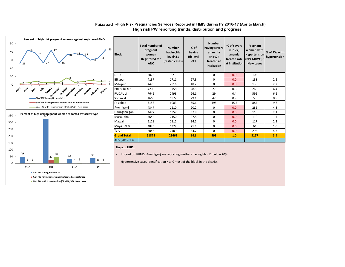#### **Faizabad -High Risk Pregnancies Services Reported in HMIS during FY 2016-17 (Apr to March) High risk PW reporting trends, distribution and progress**



| <b>Block</b>       | <b>Total number of</b><br>pregnant<br>women<br><b>Registered for</b><br><b>ANC</b> | <b>Number</b><br>having Hb<br>level<11<br>(tested cases) | $%$ of<br>having<br><b>Hb level</b><br>$11$ | <b>Number</b><br>having severe<br>anaemia<br>(Hb<7)<br>treated at<br>institution | % of severe<br>(Hb < 7)<br>anemia<br>treated rate<br>at institution | Pregnant<br>women with<br>Hypertension<br>$(BP>140/90)$ :<br><b>New cases</b> | % of PW with<br>hypertension |
|--------------------|------------------------------------------------------------------------------------|----------------------------------------------------------|---------------------------------------------|----------------------------------------------------------------------------------|---------------------------------------------------------------------|-------------------------------------------------------------------------------|------------------------------|
| <b>DHQ</b>         | 3075                                                                               | 621                                                      |                                             | $\mathbf 0$                                                                      | 0.0                                                                 | 106                                                                           |                              |
| Bikapur            | 4187                                                                               | 1711                                                     | 27.3                                        | $\mathbf 0$                                                                      | 0.0                                                                 | 138                                                                           | 2.2                          |
| Milkipur           | 4476                                                                               | 2916                                                     | 48.2                                        | $\Omega$                                                                         | 0.0                                                                 | 133                                                                           | 2.2                          |
| Poora Bazar        | 4209                                                                               | 1758                                                     | 28.5                                        | 27                                                                               | 0.6                                                                 | 269                                                                           | 4.4                          |
| <b>RUDAULI</b>     | 7645                                                                               | 2498                                                     | 26.1                                        | 29                                                                               | 0.4                                                                 | 595                                                                           | 6.2                          |
| Sohawal            | 4666                                                                               | 1972                                                     | 29.1                                        | 42                                                                               | 0.9                                                                 | 58                                                                            | 0.9                          |
| Faizabad           | 3158                                                                               | 6083                                                     | 65.6                                        | 495                                                                              | 15.7                                                                | 887                                                                           | 9.6                          |
| Amanigani          | 4347                                                                               | 1210                                                     | 20.2                                        | $\mathbf 0$                                                                      | 0.0                                                                 | 285                                                                           | 4.8                          |
| Harington ganj     | 4472                                                                               | 1957                                                     | 37.8                                        | $\mathbf 0$                                                                      | 0.0                                                                 | 110                                                                           | 2.1                          |
| Masaudha           | 5644                                                                               | 2150                                                     | 27.8                                        | $\mathbf 0$                                                                      | 0.0                                                                 | 110                                                                           | 1.4                          |
| Mawai              | 5128                                                                               | 1812                                                     | 34.2                                        | $\mathbf 0$                                                                      | 0.0                                                                 | 117                                                                           | 2.2                          |
| Maya Bazar         | 4825                                                                               | 1372                                                     | 21.4                                        | $\mathbf 0$                                                                      | 0.0                                                                 | 64                                                                            | 1.0                          |
| Tarun              | 6046                                                                               | 2409                                                     | 34.7                                        | $\Omega$                                                                         | 0.0                                                                 | 295                                                                           | 4.3                          |
| <b>Grand Total</b> | 61878                                                                              | 28469                                                    | 34.8                                        | 593                                                                              | 1.0                                                                 | 3167                                                                          | 3.9                          |
| AHS (2012-13)      |                                                                                    |                                                          |                                             |                                                                                  |                                                                     |                                                                               |                              |

#### **Gaps in HRP :**

- Instead of VHNDs Amaniganj are reporting mothers having hb <11 below 20%.

- Hypertensive cases identification < 3 % most of the block in the district.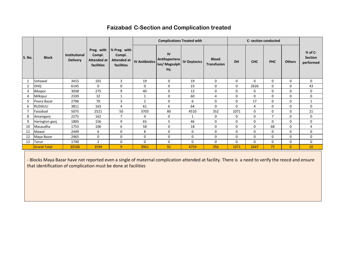#### **Faizabad C-Section and Complication treated**

|                |                    |                                  |                                                     |                                                     |                       | <b>Complications Treated with</b>                   |                     |                                    |             | <b>C- section conducted</b> |                |               |                                        |
|----------------|--------------------|----------------------------------|-----------------------------------------------------|-----------------------------------------------------|-----------------------|-----------------------------------------------------|---------------------|------------------------------------|-------------|-----------------------------|----------------|---------------|----------------------------------------|
| S. No.         | <b>Block</b>       | Institutional<br><b>Delivery</b> | Preg. with<br>Compl.<br>Attended at  <br>facilities | % Preg. with<br>Compl.<br>Attended at<br>facilities | <b>IV Antibiotics</b> | IV<br><b>Antihypertens</b><br>ive/ Magsulph<br>Inj. | <b>IV Oxytocics</b> | <b>Blood</b><br><b>Transfusion</b> | <b>DH</b>   | <b>CHC</b>                  | <b>PHC</b>     | <b>Others</b> | % of C-<br><b>Section</b><br>performed |
|                | Sohawal            | 3415                             | 101                                                 | $\overline{3}$                                      | 19                    | 0                                                   | 19                  | $\mathbf 0$                        | $\Omega$    | 0                           | 0              | $\Omega$      | 0                                      |
| $\overline{2}$ | <b>DHQ</b>         | 6145                             | $\mathbf 0$                                         | $\mathbf 0$                                         | $\mathbf 0$           | 0                                                   | 23                  | 0                                  | 0           | 2626                        | $\mathbf 0$    | 0             | 43                                     |
| 3              | Bikapur            | 3038                             | 275                                                 | 9                                                   | 40                    | $\mathbf 0$                                         | 12                  | $\mathbf 0$                        | $\Omega$    | 0                           | $\mathbf 0$    | $\mathbf 0$   | $\mathbf 0$                            |
| 4              | Milkipur           | 2339                             | 32                                                  | $\mathbf{1}$                                        | 1                     | 0                                                   | 60                  | 4                                  | 0           | 0                           | 0              | $\Omega$      | 0                                      |
| 5              | Poora Bazar        | 2796                             | 70                                                  | $\overline{3}$                                      | $\overline{2}$        | 0                                                   | 6                   | 0                                  | 0           | 17                          | 0              | $\Omega$      | $\mathbf{1}$                           |
| 6              | RUDAULI            | 3811                             | 163                                                 | $\overline{4}$                                      | 61                    | 6                                                   | 64                  | $\mathbf 0$                        | $\Omega$    | 4                           | $\mathbf 0$    | $\Omega$      | 0                                      |
|                | Faizabad           | 5075                             | 2521                                                | 50                                                  | 3703                  | 80                                                  | 4510                | 352                                | 1071        | 0                           | 0              | 0             | 21                                     |
| 8              | Amaniganj          | 2275                             | 162                                                 | $\overline{7}$                                      | 4                     | 0                                                   | 1                   | 0                                  | 0           | 0                           | $\overline{7}$ | 0             | 0                                      |
| 9              | Harington ganj     | 1805                             | 156                                                 | 9                                                   | 65                    | 5                                                   | 46                  | 0                                  | $\mathbf 0$ | 0                           | $\mathbf 0$    | $\Omega$      | 0                                      |
| 10             | Masaudha           | 1753                             | 106                                                 | 6                                                   | 58                    | 0                                                   | 18                  | 0                                  | 0           | 0                           | 68             | 0             | 4                                      |
| 11             | Mawai              | 2449                             | 6                                                   | $\mathbf 0$                                         | 8                     | 0                                                   | 0                   | $\mathbf 0$                        | $\Omega$    | 0                           | $\mathbf 0$    | $\Omega$      | 0                                      |
| 12             | Maya Bazar         | 2465                             | $\mathbf 0$                                         | $\mathbf 0$                                         | $\mathbf 0$           | $\mathbf 0$                                         | 0                   | 0                                  | $\mathbf 0$ | 0                           | 0              | $\mathbf 0$   | 0                                      |
| 13             | Tarun              | 1740                             | $\overline{2}$                                      | $\mathbf 0$                                         | $\mathbf 0$           | $\mathbf 0$                                         | $\mathbf 0$         | $\mathbf 0$                        | $\mathbf 0$ | 0                           | 0              | 0             | $\mathbf 0$                            |
|                | <b>Grand Total</b> | 39106                            | 3594                                                | 9                                                   | 3961                  | 91                                                  | 4759                | 356                                | 1071        | 2647                        | 75             | $\Omega$      | 10                                     |

- Blocks Maya Bazar have not reported even a single of maternal complication attended at facility. There is a need to verify the reocd and ensure that identification of complication must be done at facilities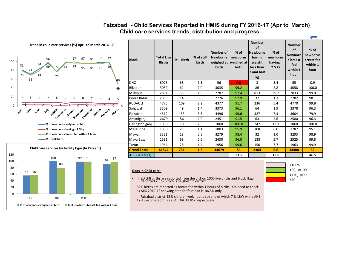



#### **Child care services trends, distribution and progress Faizabad - Child Services Reported in HMIS during FY 2016-17 (Apr to March)**

| <b>Block</b>       | <b>Total Live</b><br><b>Births</b> | <b>Still Birth</b> | % of still<br>birth | Number of<br><b>Newborns</b><br>birth | $%$ of<br>newborns<br>weighed at   weighed at  <br>birth | <b>Number</b><br><b>of</b><br><b>Newborns</b><br>having<br>weight<br>less than<br>2 and half<br>kg | $%$ of<br>newborns<br>having $\leq$<br>2.5 <sub>kg</sub> | <b>Number</b><br>of<br><b>Newborn</b><br>s breast<br>fed<br>within 1<br>hour | $%$ of<br>newborns<br>breast fed<br>within 1<br>hour |
|--------------------|------------------------------------|--------------------|---------------------|---------------------------------------|----------------------------------------------------------|----------------------------------------------------------------------------------------------------|----------------------------------------------------------|------------------------------------------------------------------------------|------------------------------------------------------|
| <b>DHQ</b>         | 6078                               | 68                 | 1.1                 | 56                                    | 0.9                                                      | 3                                                                                                  | 5.4                                                      | 55                                                                           | 0.9                                                  |
| Bikapur            | 3059                               | 62                 | 2.0                 | 3035                                  | 99.2                                                     | 86                                                                                                 | 2.8                                                      | 3058                                                                         | 100.0                                                |
| Milkipur           | 2861                               | 55                 | 1.9                 | 2787                                  | 97.4                                                     | 813                                                                                                | 29.2                                                     | 2833                                                                         | 99.0                                                 |
| Poora Bazar        | 2835                               | 14                 | 0.5                 | 2776                                  | 97.9                                                     | 37                                                                                                 | 1.3                                                      | 2782                                                                         | 98.1                                                 |
| <b>RUDAULI</b>     | 4775                               | 109                | 2.2                 | 4377                                  | 91.7                                                     | 236                                                                                                | 5.4                                                      | 4770                                                                         | 99.9                                                 |
| Sohawal            | 3509                               | 49                 | 1.4                 | 3373                                  | 96.1                                                     | 64                                                                                                 | 1.9                                                      | 3378                                                                         | 96.3                                                 |
| Faizabad           | 4512                               | 153                | 3.3                 | 4496                                  | 99.6                                                     | 327                                                                                                | 7.3                                                      | 3604                                                                         | 79.9                                                 |
| Amaniganj          | 2679                               | 56                 | 2.0                 | 2451                                  | 91.5                                                     | 63                                                                                                 | 2.6                                                      | 2580                                                                         | 96.3                                                 |
| Harington ganj     | 1860                               | 50                 | 2.6                 | 1860                                  | 100.0                                                    | 247                                                                                                | 13.3                                                     | 1860                                                                         | 100.0                                                |
| Masaudha           | 1880                               | 21                 | 1.1                 | 1803                                  | 95.9                                                     | 108                                                                                                | 6.0                                                      | 1787                                                                         | 95.1                                                 |
| Mawai              | 3331                               | 18                 | 0.5                 | 3279                                  | 98.4                                                     | 32                                                                                                 | 1.0                                                      | 3293                                                                         | 98.9                                                 |
| Maya Bazar         | 2531                               | 68                 | 2.6                 | 2430                                  | 96.0                                                     | 138                                                                                                | 5.7                                                      | 2525                                                                         | 99.8                                                 |
| Tarun              | 1964                               | 28                 | 1.4                 | 1956                                  | 99.6                                                     | 150                                                                                                | 7.7                                                      | 1963                                                                         | 99.9                                                 |
| <b>Grand Total</b> | 41874                              | 751                | 1.8                 | 34679                                 | 83                                                       | 2304                                                                                               | 6.6                                                      | 34488                                                                        | 82                                                   |
| AHS (2012-13)      |                                    |                    |                     |                                       | 31.5                                                     |                                                                                                    | 13.8                                                     |                                                                              | 46.5                                                 |

>100% >90, <=100 >=70, <=90 <70

-

#### **Gaps in Child care :**



- 82% births are reported as breast fed within 1 hours of births, it is need to check as AHS 2012-13 showing data for faizabad is 46.5% only.
- In Faizabad district 83% children weight at birth and of which 7 % LBW while AHS 12-13 estimated this as 31.5%& 13.8% respectively.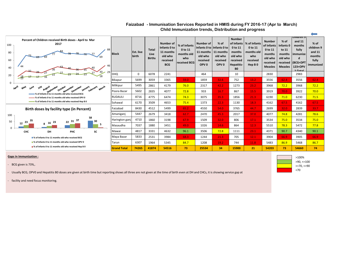| Percent of Children received Birth doses - April to Mar<br>2017<br>100<br>80<br>60<br>44<br>40                    | <b>Block</b>       | <b>Est. live</b><br>birth | <b>Total</b><br>Live<br><b>Births</b> | Number of<br>Infants 0 to<br>11 months<br>old who<br>received<br><b>BCG</b> | % of Infants<br>0 to 11<br>months old<br>who<br>received BCG | Number of<br>Infants 0 to   Infants 0 to<br>11 months   11 months<br>old who<br>received<br>OPV <sub>0</sub> | $%$ of<br>old who<br>received<br>OPV <sub>0</sub> | <b>Number</b><br>of Infants<br>0 to 11<br>months<br>old who<br>received<br>Hepatitis-<br>B <sub>0</sub> | % of Infants<br>0 to 11<br>months old<br>who<br>received<br>Hep B <sub>0</sub> | <b>Number</b><br>of Infants<br>0 to 11<br>months<br>old who<br>received<br><b>Measles</b> | $%$ of<br>Infants 0<br>to 11<br>months<br>old who<br><b>Measles</b> | rcniiaren 9<br>and 11<br>months<br>fully<br>limmunize<br>d<br>received (BCG+DPT)<br>123+OPV<br>$1.70+2$ | $%$ of<br>children 9<br>and 11<br>months<br>fully<br>immunized |
|-------------------------------------------------------------------------------------------------------------------|--------------------|---------------------------|---------------------------------------|-----------------------------------------------------------------------------|--------------------------------------------------------------|--------------------------------------------------------------------------------------------------------------|---------------------------------------------------|---------------------------------------------------------------------------------------------------------|--------------------------------------------------------------------------------|-------------------------------------------------------------------------------------------|---------------------------------------------------------------------|---------------------------------------------------------------------------------------------------------|----------------------------------------------------------------|
| 29<br>20                                                                                                          | <b>DHQ</b>         | $\Omega$                  | 6078                                  | 2241                                                                        |                                                              | 464                                                                                                          |                                                   | 10                                                                                                      |                                                                                | 2830                                                                                      |                                                                     | 2983                                                                                                    |                                                                |
|                                                                                                                   | Bikapur            | 5699                      | 3059                                  | 3365                                                                        | 59.0                                                         | 1859                                                                                                         | 32.6                                              | 752                                                                                                     | 13.2                                                                           | 3556                                                                                      | 62.4                                                                | 3556                                                                                                    | 62.4                                                           |
| April<br>۳W<br>uary rebruary March<br><b><i>lume</i></b><br><b>August</b><br><b>May</b>                           | Milkipur           | 5495                      | 2861                                  | 4179                                                                        | 76.0                                                         | 2317                                                                                                         | 42.2                                              | 1273                                                                                                    | 23.2                                                                           | 3968                                                                                      | 72.2                                                                | 3968                                                                                                    | 72.2                                                           |
| otember<br>October<br>November<br>December<br><b>January</b><br>-% of Infants 0 to 11 months old who received BCG | Poora Bazar        | 5602                      | 2835                                  | 4077                                                                        | 72.8                                                         | 933                                                                                                          | 16.7                                              | 867                                                                                                     | 15.5                                                                           | 3919                                                                                      | 70.0                                                                | 3922                                                                                                    | 70.0                                                           |
| % of Infants 0 to 11 months old who received OPV 0                                                                | <b>RUDAULI</b>     | 8716                      | 4775                                  | 6474                                                                        | 74.3                                                         | 3075                                                                                                         | 35.3                                              | 1856                                                                                                    | 21.3                                                                           | 6190                                                                                      | 71.0                                                                | 6230                                                                                                    | 71.5                                                           |
| -% of Infants 0 to 11 months old who received Hep B 0                                                             | Sohawal            | 6170                      | 3509                                  | 4653                                                                        | 75.4                                                         | 1373                                                                                                         | 22.3                                              | 1130                                                                                                    | 18.3                                                                           | 4162                                                                                      | 67.5                                                                | 4162                                                                                                    | 67.5                                                           |
| Birth doses by facility type (in Percent)                                                                         | Faizabad           | 8430                      | 4512                                  | 5499                                                                        | 65.2                                                         | 4550                                                                                                         | 54.0                                              | 3765                                                                                                    | 44.7                                                                           | 2699                                                                                      | 32.0                                                                | 2839                                                                                                    | 33.7                                                           |
| 100                                                                                                               | Amaniganj          | 5447                      | 2679                                  | 3418                                                                        | 62.7                                                         | 2470                                                                                                         | 45.3                                              | 2017                                                                                                    | 37.0                                                                           | 4077                                                                                      | 74.8                                                                | 4281                                                                                                    | 78.6                                                           |
| 58<br>-37<br>35<br>$22^{31}$<br>30<br>50<br>23                                                                    | Harington ganj     | 4710                      | 1860                                  | 3198                                                                        | 67.9                                                         | 1509                                                                                                         | 32.0                                              | 806                                                                                                     | 17.1                                                                           | 3534                                                                                      | 75.0                                                                | 3534                                                                                                    | 75.0                                                           |
| 16<br>12<br>5                                                                                                     | Masaudha           | 7037                      | 1880                                  | 3451                                                                        | 49.0                                                         | 1026                                                                                                         | 14.6                                              | 864                                                                                                     | 12.3                                                                           | 5510                                                                                      | 78.3                                                                | 5472                                                                                                    | 77.8                                                           |
| SC<br><b>CHC</b><br>DH<br>PHC                                                                                     | Mawai              | 4817                      | 3331                                  | 4632                                                                        | 96.1                                                         | 3506                                                                                                         | 72.8                                              | 1111                                                                                                    | 23.1                                                                           | 4371                                                                                      | 90.7                                                                | 4340                                                                                                    | 90.1                                                           |
| ■% of Infants 0 to 11 months old who received BCG                                                                 | Maya Bazar         | 5833                      | 2531                                  | 3984                                                                        | 68.3                                                         | 1244                                                                                                         | 21.3                                              | 705                                                                                                     | 12.1                                                                           | 3904                                                                                      | 66.9                                                                | 3905                                                                                                    | 66.9                                                           |
| ■% of Infants 0 to 11 months old who received OPV 0                                                               | Tarun              | 6307                      | 1964                                  | 5345                                                                        | 84.7                                                         | 1208                                                                                                         | 19.2                                              | 744                                                                                                     | 11.8                                                                           | 5483                                                                                      | 86.9                                                                | 5468                                                                                                    | 86.7                                                           |
| ■% of Infants 0 to 11 months old who received Hep B 0                                                             | <b>Grand Total</b> | 74265                     | 41874                                 | 54516                                                                       | 73                                                           | 25534                                                                                                        | 34                                                | 15900                                                                                                   | 21                                                                             | 54203                                                                                     | 73                                                                  | 54660                                                                                                   | 74                                                             |

#### **Child Immunization trends, Distribution and progress Faizabad - Immunisation Services Reported in HMIS during FY 2016-17 (Apr to March)**

#### **Gaps in Immunization :**

- BCG given is 73%,.

- Usually BCG, OPV0 and Hepatitis B0 doses are given at birth time but reporting shows all three are not given at the time of birth even at DH and CHCs, it is showing service gap at

- facility and need focus monitoring.



 $\overline{\phantom{0}}$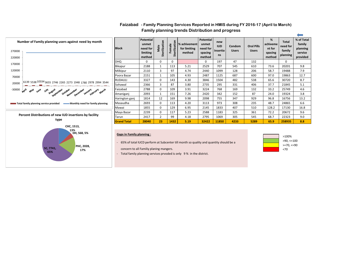

#### **Family planning trends Distribution and progress Faizabad - Family Planning Services Reported in HMIS during FY 2016-17 (April to March)**

#### **Gaps in Family planning :**

**13% DH, 568, 5%**

**17% 17%** 

**65%**

**PHC, 2028,** 

- 65% of total IUCD perform at Subcenter till month so quality and quantity should be a

concern to all Familiy planing mangers.

- Total family planning services prvoded is only 9 % in the district.

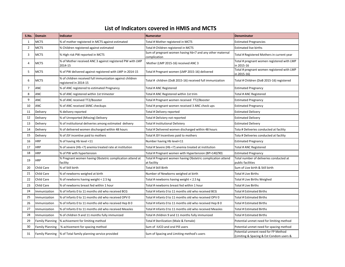#### **List of Indicators covered in HMIS and MCTS**

| S.No. | Domain                 | <b>Indicator</b>                                                                   | <b>Numerator</b>                                                           | <b>Denominator</b>                                                              |
|-------|------------------------|------------------------------------------------------------------------------------|----------------------------------------------------------------------------|---------------------------------------------------------------------------------|
| 1     | <b>MCTS</b>            | % of mother registered in MCTS against estimated                                   | Total # Mother registered in MCTS                                          | <b>Estimated Pregnancies</b>                                                    |
| 2     | <b>MCTS</b>            | % Children registered against estimated                                            | Total # Children registered in MCTS                                        | <b>Estimated live births</b>                                                    |
| 3     | <b>MCTS</b>            | % High risk PW reported in MCTS                                                    | Sum of pregnant women having hb<7 and any other maternal<br>complication   | Total # Registered Mothers in current year                                      |
| 4     | <b>MCTS</b>            | % of Mother received ANC 3 against registered PW with LMP<br>2014-15               | Mother (LMP 2015-16) received ANC 3                                        | Total # pregnant women registered with LMP<br>in 2015-16                        |
| 5     | <b>MCTS</b>            | % of PW delivered against registered with LMP in 2014-15                           | Total # Pregnant women (LMP 2015-16) delivered                             | Total # pregnant women registered with LMP<br>in 2015-16)                       |
| 6     | <b>MCTS</b>            | % of children received full immunization against children<br>registered in 2014-15 | Total # children (DoB 2015-16) received full immunization                  | Total # Children (DoB 2015-16) registered                                       |
| 7     | ANC                    | % of ANC registered to estimated Pregnancy                                         | Total # ANC Registered                                                     | <b>Estimated Pregnancy</b>                                                      |
| 8     | ANC                    | % of ANC registered within 1st trimester                                           | Total # ANC Registered within 1st trim                                     | Total # ANC Registered                                                          |
| 9     | ANC                    | % of ANC received TT2/Booster                                                      | Total # Pregnant women received TT2/Booster                                | <b>Estimated Pregnancy</b>                                                      |
| 10    | ANC                    | % of ANC received 3ANC checkups                                                    | Total # pregnant women received 3 ANC check ups                            | <b>Estimated Pregnancy</b>                                                      |
| 11    | Delivery               | % delivery reported                                                                | Total # Delivery reported                                                  | <b>Estimated Delivery</b>                                                       |
| 12    | Delivery               | % of Unreported (Missing) Delivery                                                 | Total # Deliviery not reported                                             | <b>Estimated Delivery</b>                                                       |
| 13    | Delivery               | % of institutional deliveries among estimated delivery                             | Total # Institutional Deliviery                                            | <b>Estimated Delivery</b>                                                       |
| 14    | Delivery               | % of delivered women discharged within 48 hours                                    | Total # Delivered women discharged within 48 hours                         | Tota # Deliveries conducted at facility                                         |
| 15    | Delivery               | % of JSY incentive paid to mothers                                                 | Total # JSY Incentives paid to mothers                                     | Tota # Deliveries conducted at facility                                         |
| 16    | <b>HRP</b>             | % of having Hb level <11                                                           | Number having Hb level<11                                                  | <b>Estimated Pregnancy</b>                                                      |
| 17    | <b>HRP</b>             | % of severe (Hb <7) anemia treated rate at institution                             | Total # Severe (Hb <7) anemia treated at institution                       | Total # ANC Registered                                                          |
| 18    | <b>HRP</b>             | % of PW with hypertension                                                          | Total # Pregnant women with Hypertension (BP>140/90)                       | <b>Estimated Pregnancy</b>                                                      |
| 19    | <b>HRP</b>             | % Pregnant women having Obstetric complication attend at<br>facility               | Total # Pregnant women having Obstetric complication attend<br>at facility | Total number of deliveries conducted at<br>public facilities                    |
| 20    | Child Care             | % of Still birth                                                                   | Total # Still Birth                                                        | Sum of Live birth & Still birth                                                 |
| 21    | Child Care             | % of newborns weighed at birth                                                     | Number of Newborns weighed at birth                                        | Total # Live Births                                                             |
| 22    | Child Care             | % of newborns having weight < 2.5 kg                                               | Total # newborns having weight < 2.5 kg                                    | Total # Live Births Weighed                                                     |
| 23    | Child Care             | % of newborns breast fed within 1 hour                                             | Total # newborns breast fed within 1 hour                                  | Total # Live Births                                                             |
| 24    | Immunization           | % of Infants 0 to 11 months old who received BCG                                   | Total # Infants 0 to 11 months old who received BCG                        | Total # Estimated Births                                                        |
| 25    | Immunization           | % of Infants 0 to 11 months old who received OPV 0                                 | Total # Infants 0 to 11 months old who received OPV 0                      | Total # Estimated Births                                                        |
| 26    | Immunization           | % of Infants 0 to 11 months old who received Hep B 0                               | Total # Infants 0 to 11 months old who received Hep B 0                    | Total # Estimated Births                                                        |
| 27    | Immunization           | % of Infants 0 to 11 months old who received Measles                               | Total # Infants 0 to 11 months old who received Measles                    | <b>Total # Estimated Births</b>                                                 |
| 28    | Immunization           | % of children 9 and 11 months fully immunized                                      | Total # children 9 and 11 months fully immunized                           | Total # Estimated Births                                                        |
| 29    | <b>Family Planning</b> | % achivement for limiting method                                                   | Total # Sterilization (Male & Female)                                      | Potential unmet need for limiting method                                        |
| 30    | <b>Family Planning</b> | % achivement for spacing method                                                    | Sum of IUCD and oral Pill users                                            | Potential unmet need for spacing method                                         |
| 31    |                        | Family Planning  % of Total family planning service provided                       | Sum of Spacing and Limiting method's users                                 | Potential unment need for FP Method<br>(Limiting & Spacing & Est Condom users & |